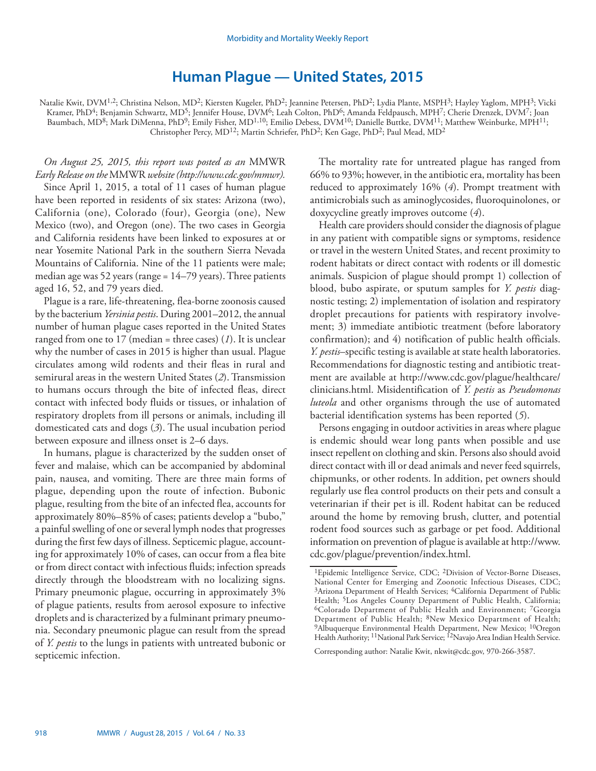## **Human Plague — United States, 2015**

Natalie Kwit, DVM<sup>1,2</sup>; Christina Nelson, MD<sup>2</sup>; Kiersten Kugeler, PhD<sup>2</sup>; Jeannine Petersen, PhD<sup>2</sup>; Lydia Plante, MSPH<sup>3</sup>; Hayley Yaglom, MPH<sup>3</sup>; Vicki Kramer, PhD<sup>4</sup>; Benjamin Schwartz, MD<sup>5</sup>; Jennifer House, DVM<sup>6</sup>; Leah Colton, PhD<sup>6</sup>; Amanda Feldpausch, MPH<sup>7</sup>; Cherie Drenzek, DVM<sup>7</sup>; Joan Baumbach, MD8; Mark DiMenna, PhD9; Emily Fisher, MD1,10; Emilio Debess, DVM10; Danielle Buttke, DVM11; Matthew Weinburke, MPH11; Christopher Percy, MD12; Martin Schriefer, PhD2; Ken Gage, PhD2; Paul Mead, MD2

*On August 25, 2015, this report was posted as an* MMWR *Early Release on the* MMWR *website (http://www.cdc.gov/mmwr).* Since April 1, 2015, a total of 11 cases of human plague have been reported in residents of six states: Arizona (two), California (one), Colorado (four), Georgia (one), New Mexico (two), and Oregon (one). The two cases in Georgia and California residents have been linked to exposures at or near Yosemite National Park in the southern Sierra Nevada Mountains of California. Nine of the 11 patients were male; median age was 52 years (range = 14–79 years). Three patients aged 16, 52, and 79 years died.

Plague is a rare, life-threatening, flea-borne zoonosis caused by the bacterium *Yersinia pestis*. During 2001–2012, the annual number of human plague cases reported in the United States ranged from one to 17 (median = three cases) (*1*). It is unclear why the number of cases in 2015 is higher than usual. Plague circulates among wild rodents and their fleas in rural and semirural areas in the western United States (*2*). Transmission to humans occurs through the bite of infected fleas, direct contact with infected body fluids or tissues, or inhalation of respiratory droplets from ill persons or animals, including ill domesticated cats and dogs (*3*). The usual incubation period between exposure and illness onset is 2–6 days.

In humans, plague is characterized by the sudden onset of fever and malaise, which can be accompanied by abdominal pain, nausea, and vomiting. There are three main forms of plague, depending upon the route of infection. Bubonic plague, resulting from the bite of an infected flea, accounts for approximately 80%–85% of cases; patients develop a "bubo," a painful swelling of one or several lymph nodes that progresses during the first few days of illness. Septicemic plague, accounting for approximately 10% of cases, can occur from a flea bite or from direct contact with infectious fluids; infection spreads directly through the bloodstream with no localizing signs. Primary pneumonic plague, occurring in approximately 3% of plague patients, results from aerosol exposure to infective droplets and is characterized by a fulminant primary pneumonia. Secondary pneumonic plague can result from the spread of *Y. pestis* to the lungs in patients with untreated bubonic or septicemic infection.

The mortality rate for untreated plague has ranged from 66% to 93%; however, in the antibiotic era, mortality has been reduced to approximately 16% (*4*). Prompt treatment with antimicrobials such as aminoglycosides, fluoroquinolones, or doxycycline greatly improves outcome (*4*).

Health care providers should consider the diagnosis of plague in any patient with compatible signs or symptoms, residence or travel in the western United States, and recent proximity to rodent habitats or direct contact with rodents or ill domestic animals. Suspicion of plague should prompt 1) collection of blood, bubo aspirate, or sputum samples for *Y. pestis* diagnostic testing; 2) implementation of isolation and respiratory droplet precautions for patients with respiratory involvement; 3) immediate antibiotic treatment (before laboratory confirmation); and 4) notification of public health officials. *Y. pestis*–specific testing is available at state health laboratories. Recommendations for diagnostic testing and antibiotic treatment are available at http://www.cdc.gov/plague/healthcare/ clinicians.html. Misidentification of *Y. pestis* as *Pseudomonas luteola* and other organisms through the use of automated bacterial identification systems has been reported (*5*).

Persons engaging in outdoor activities in areas where plague is endemic should wear long pants when possible and use insect repellent on clothing and skin. Persons also should avoid direct contact with ill or dead animals and never feed squirrels, chipmunks, or other rodents. In addition, pet owners should regularly use flea control products on their pets and consult a veterinarian if their pet is ill. Rodent habitat can be reduced around the home by removing brush, clutter, and potential rodent food sources such as garbage or pet food. Additional information on prevention of plague is available at http://www. cdc.gov/plague/prevention/index.html.

Corresponding author: Natalie Kwit, nkwit@cdc.gov, 970-266-3587.

<sup>&</sup>lt;sup>1</sup>Epidemic Intelligence Service, CDC; <sup>2</sup>Division of Vector-Borne Diseases, National Center for Emerging and Zoonotic Infectious Diseases, CDC; <sup>3</sup>Arizona Department of Health Services; <sup>4</sup>California Department of Public Health; <sup>5</sup>Los Angeles County Department of Public Health, California; <sup>6</sup>Colorado Department of Public Health and Environment; <sup>7</sup>Georgia Department of Public Health; 8New Mexico Department of Health; <sup>9</sup>Albuquerque Environmental Health Department, New Mexico; <sup>10</sup>Oregon Health Authority; <sup>11</sup>National Park Service; <sup>12</sup>Navajo Area Indian Health Service.